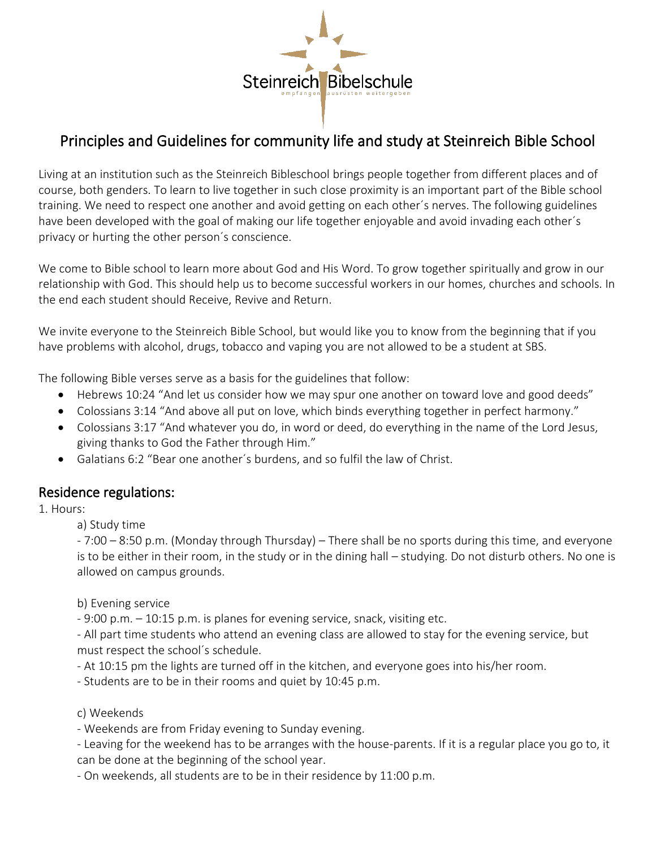

# Principles and Guidelines for community life and study at Steinreich Bible School

Living at an institution such as the Steinreich Bibleschool brings people together from different places and of course, both genders. To learn to live together in such close proximity is an important part of the Bible school training. We need to respect one another and avoid getting on each other´s nerves. The following guidelines have been developed with the goal of making our life together enjoyable and avoid invading each other´s privacy or hurting the other person´s conscience.

We come to Bible school to learn more about God and His Word. To grow together spiritually and grow in our relationship with God. This should help us to become successful workers in our homes, churches and schools. In the end each student should Receive, Revive and Return.

We invite everyone to the Steinreich Bible School, but would like you to know from the beginning that if you have problems with alcohol, drugs, tobacco and vaping you are not allowed to be a student at SBS.

The following Bible verses serve as a basis for the guidelines that follow:

- Hebrews 10:24 "And let us consider how we may spur one another on toward love and good deeds"
- Colossians 3:14 "And above all put on love, which binds everything together in perfect harmony."
- Colossians 3:17 "And whatever you do, in word or deed, do everything in the name of the Lord Jesus, giving thanks to God the Father through Him."
- Galatians 6:2 "Bear one another´s burdens, and so fulfil the law of Christ.

# Residence regulations:

#### 1. Hours:

a) Study time

- 7:00 – 8:50 p.m. (Monday through Thursday) – There shall be no sports during this time, and everyone is to be either in their room, in the study or in the dining hall – studying. Do not disturb others. No one is allowed on campus grounds.

b) Evening service

- 9:00 p.m. – 10:15 p.m. is planes for evening service, snack, visiting etc.

- All part time students who attend an evening class are allowed to stay for the evening service, but must respect the school´s schedule.

- At 10:15 pm the lights are turned off in the kitchen, and everyone goes into his/her room.

- Students are to be in their rooms and quiet by 10:45 p.m.

c) Weekends

- Weekends are from Friday evening to Sunday evening.

- Leaving for the weekend has to be arranges with the house-parents. If it is a regular place you go to, it can be done at the beginning of the school year.

- On weekends, all students are to be in their residence by 11:00 p.m.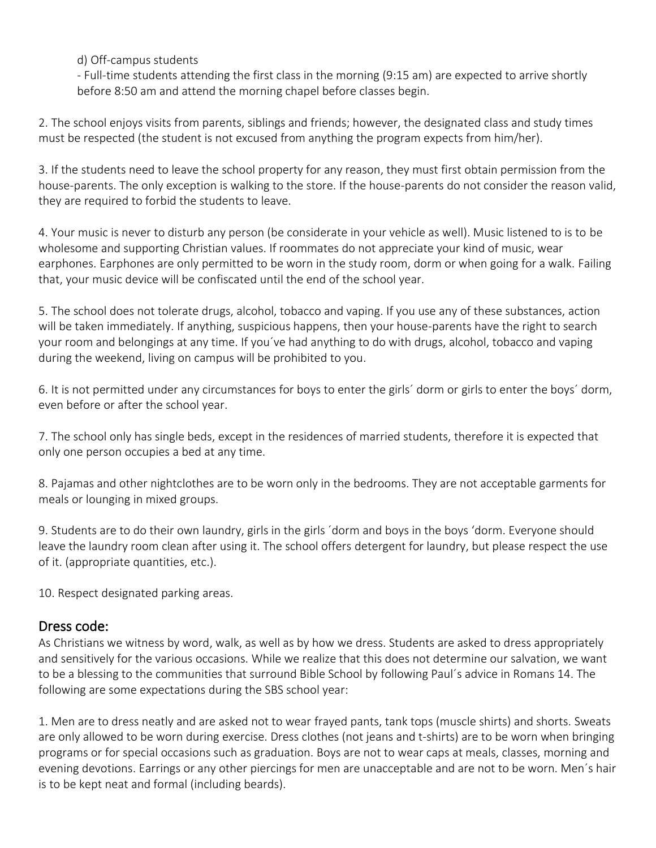d) Off-campus students

- Full-time students attending the first class in the morning (9:15 am) are expected to arrive shortly before 8:50 am and attend the morning chapel before classes begin.

2. The school enjoys visits from parents, siblings and friends; however, the designated class and study times must be respected (the student is not excused from anything the program expects from him/her).

3. If the students need to leave the school property for any reason, they must first obtain permission from the house-parents. The only exception is walking to the store. If the house-parents do not consider the reason valid, they are required to forbid the students to leave.

4. Your music is never to disturb any person (be considerate in your vehicle as well). Music listened to is to be wholesome and supporting Christian values. If roommates do not appreciate your kind of music, wear earphones. Earphones are only permitted to be worn in the study room, dorm or when going for a walk. Failing that, your music device will be confiscated until the end of the school year.

5. The school does not tolerate drugs, alcohol, tobacco and vaping. If you use any of these substances, action will be taken immediately. If anything, suspicious happens, then your house-parents have the right to search your room and belongings at any time. If you´ve had anything to do with drugs, alcohol, tobacco and vaping during the weekend, living on campus will be prohibited to you.

6. It is not permitted under any circumstances for boys to enter the girls´ dorm or girls to enter the boys´ dorm, even before or after the school year.

7. The school only has single beds, except in the residences of married students, therefore it is expected that only one person occupies a bed at any time.

8. Pajamas and other nightclothes are to be worn only in the bedrooms. They are not acceptable garments for meals or lounging in mixed groups.

9. Students are to do their own laundry, girls in the girls ´dorm and boys in the boys 'dorm. Everyone should leave the laundry room clean after using it. The school offers detergent for laundry, but please respect the use of it. (appropriate quantities, etc.).

10. Respect designated parking areas.

# Dress code:

As Christians we witness by word, walk, as well as by how we dress. Students are asked to dress appropriately and sensitively for the various occasions. While we realize that this does not determine our salvation, we want to be a blessing to the communities that surround Bible School by following Paul´s advice in Romans 14. The following are some expectations during the SBS school year:

1. Men are to dress neatly and are asked not to wear frayed pants, tank tops (muscle shirts) and shorts. Sweats are only allowed to be worn during exercise. Dress clothes (not jeans and t-shirts) are to be worn when bringing programs or for special occasions such as graduation. Boys are not to wear caps at meals, classes, morning and evening devotions. Earrings or any other piercings for men are unacceptable and are not to be worn. Men´s hair is to be kept neat and formal (including beards).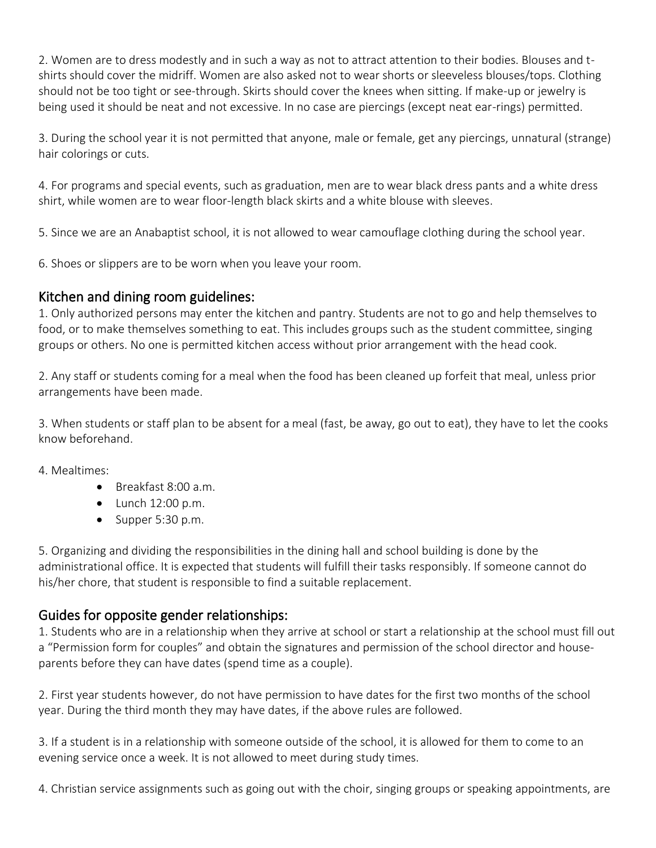2. Women are to dress modestly and in such a way as not to attract attention to their bodies. Blouses and tshirts should cover the midriff. Women are also asked not to wear shorts or sleeveless blouses/tops. Clothing should not be too tight or see-through. Skirts should cover the knees when sitting. If make-up or jewelry is being used it should be neat and not excessive. In no case are piercings (except neat ear-rings) permitted.

3. During the school year it is not permitted that anyone, male or female, get any piercings, unnatural (strange) hair colorings or cuts.

4. For programs and special events, such as graduation, men are to wear black dress pants and a white dress shirt, while women are to wear floor-length black skirts and a white blouse with sleeves.

5. Since we are an Anabaptist school, it is not allowed to wear camouflage clothing during the school year.

6. Shoes or slippers are to be worn when you leave your room.

#### Kitchen and dining room guidelines:

1. Only authorized persons may enter the kitchen and pantry. Students are not to go and help themselves to food, or to make themselves something to eat. This includes groups such as the student committee, singing groups or others. No one is permitted kitchen access without prior arrangement with the head cook.

2. Any staff or students coming for a meal when the food has been cleaned up forfeit that meal, unless prior arrangements have been made.

3. When students or staff plan to be absent for a meal (fast, be away, go out to eat), they have to let the cooks know beforehand.

4. Mealtimes:

- Breakfast 8:00 a.m.
- $\bullet$  Lunch 12:00 p.m.
- Supper 5:30 p.m.

5. Organizing and dividing the responsibilities in the dining hall and school building is done by the administrational office. It is expected that students will fulfill their tasks responsibly. If someone cannot do his/her chore, that student is responsible to find a suitable replacement.

# Guides for opposite gender relationships:

1. Students who are in a relationship when they arrive at school or start a relationship at the school must fill out a "Permission form for couples" and obtain the signatures and permission of the school director and houseparents before they can have dates (spend time as a couple).

2. First year students however, do not have permission to have dates for the first two months of the school year. During the third month they may have dates, if the above rules are followed.

3. If a student is in a relationship with someone outside of the school, it is allowed for them to come to an evening service once a week. It is not allowed to meet during study times.

4. Christian service assignments such as going out with the choir, singing groups or speaking appointments, are